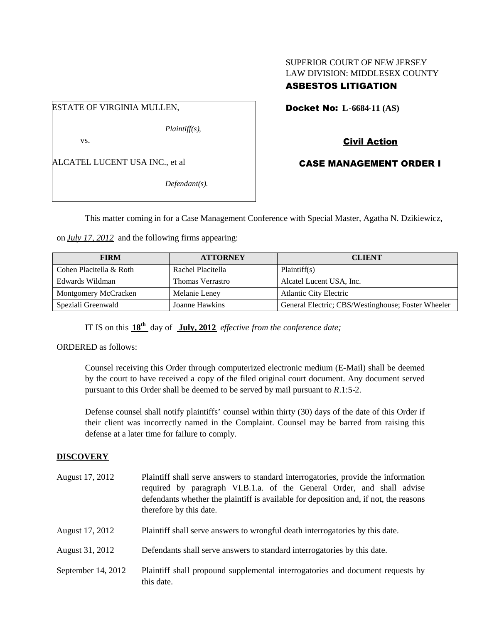# SUPERIOR COURT OF NEW JERSEY LAW DIVISION: MIDDLESEX COUNTY

# ASBESTOS LITIGATION

ESTATE OF VIRGINIA MULLEN,

*Plaintiff(s),*

vs.

ALCATEL LUCENT USA INC., et al

*Defendant(s).*

Docket No: **L-6684-11 (AS)**

Civil Action

CASE MANAGEMENT ORDER I

This matter coming in for a Case Management Conference with Special Master, Agatha N. Dzikiewicz,

on *July 17, 2012* and the following firms appearing:

| <b>FIRM</b>             | <b>ATTORNEY</b>         | <b>CLIENT</b>                                      |
|-------------------------|-------------------------|----------------------------------------------------|
| Cohen Placitella & Roth | Rachel Placitella       | Plaintiff(s)                                       |
| Edwards Wildman         | <b>Thomas Verrastro</b> | Alcatel Lucent USA, Inc.                           |
| Montgomery McCracken    | Melanie Leney           | <b>Atlantic City Electric</b>                      |
| Speziali Greenwald      | Joanne Hawkins          | General Electric; CBS/Westinghouse; Foster Wheeler |

IT IS on this **18th** day of **July, 2012** *effective from the conference date;*

ORDERED as follows:

Counsel receiving this Order through computerized electronic medium (E-Mail) shall be deemed by the court to have received a copy of the filed original court document. Any document served pursuant to this Order shall be deemed to be served by mail pursuant to *R*.1:5-2.

Defense counsel shall notify plaintiffs' counsel within thirty (30) days of the date of this Order if their client was incorrectly named in the Complaint. Counsel may be barred from raising this defense at a later time for failure to comply.

# **DISCOVERY**

| August 17, 2012    | Plaintiff shall serve answers to standard interrogatories, provide the information<br>required by paragraph VI.B.1.a. of the General Order, and shall advise<br>defendants whether the plaintiff is available for deposition and, if not, the reasons<br>therefore by this date. |  |
|--------------------|----------------------------------------------------------------------------------------------------------------------------------------------------------------------------------------------------------------------------------------------------------------------------------|--|
| August 17, 2012    | Plaintiff shall serve answers to wrongful death interrogatories by this date.                                                                                                                                                                                                    |  |
| August 31, 2012    | Defendants shall serve answers to standard interrogatories by this date.                                                                                                                                                                                                         |  |
| September 14, 2012 | Plaintiff shall propound supplemental interrogatories and document requests by<br>this date.                                                                                                                                                                                     |  |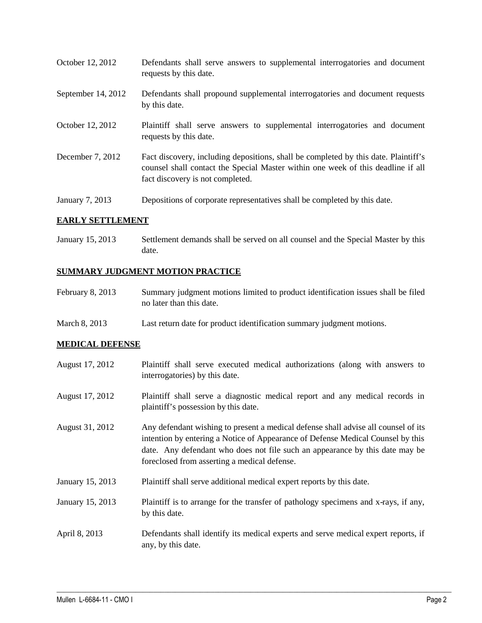October 12, 2012 Defendants shall serve answers to supplemental interrogatories and document requests by this date. September 14, 2012 Defendants shall propound supplemental interrogatories and document requests by this date. October 12, 2012 Plaintiff shall serve answers to supplemental interrogatories and document requests by this date. December 7, 2012 Fact discovery, including depositions, shall be completed by this date. Plaintiff's counsel shall contact the Special Master within one week of this deadline if all fact discovery is not completed. January 7, 2013 Depositions of corporate representatives shall be completed by this date.

### **EARLY SETTLEMENT**

January 15, 2013 Settlement demands shall be served on all counsel and the Special Master by this date.

### **SUMMARY JUDGMENT MOTION PRACTICE**

- February 8, 2013 Summary judgment motions limited to product identification issues shall be filed no later than this date.
- March 8, 2013 Last return date for product identification summary judgment motions.

### **MEDICAL DEFENSE**

August 17, 2012 Plaintiff shall serve executed medical authorizations (along with answers to interrogatories) by this date. August 17, 2012 Plaintiff shall serve a diagnostic medical report and any medical records in plaintiff's possession by this date. August 31, 2012 Any defendant wishing to present a medical defense shall advise all counsel of its intention by entering a Notice of Appearance of Defense Medical Counsel by this date. Any defendant who does not file such an appearance by this date may be foreclosed from asserting a medical defense. January 15, 2013 Plaintiff shall serve additional medical expert reports by this date. January 15, 2013 Plaintiff is to arrange for the transfer of pathology specimens and x-rays, if any, by this date. April 8, 2013 Defendants shall identify its medical experts and serve medical expert reports, if any, by this date.

 $\_$  ,  $\_$  ,  $\_$  ,  $\_$  ,  $\_$  ,  $\_$  ,  $\_$  ,  $\_$  ,  $\_$  ,  $\_$  ,  $\_$  ,  $\_$  ,  $\_$  ,  $\_$  ,  $\_$  ,  $\_$  ,  $\_$  ,  $\_$  ,  $\_$  ,  $\_$  ,  $\_$  ,  $\_$  ,  $\_$  ,  $\_$  ,  $\_$  ,  $\_$  ,  $\_$  ,  $\_$  ,  $\_$  ,  $\_$  ,  $\_$  ,  $\_$  ,  $\_$  ,  $\_$  ,  $\_$  ,  $\_$  ,  $\_$  ,